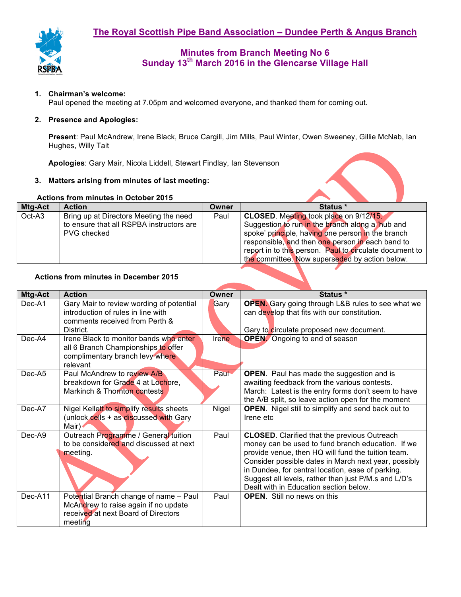

# **Minutes from Branch Meeting No 6 Sunday 13th March 2016 in the Glencarse Village Hall**

### **1. Chairman's welcome:**

Paul opened the meeting at 7.05pm and welcomed everyone, and thanked them for coming out.

### **2. Presence and Apologies:**

**Present**: Paul McAndrew, Irene Black, Bruce Cargill, Jim Mills, Paul Winter, Owen Sweeney, Gillie McNab, Ian Hughes, Willy Tait

**Apologies**: Gary Mair, Nicola Liddell, Stewart Findlay, Ian Stevenson

### **3. Matters arising from minutes of last meeting:**

### **Actions from minutes in October 2015**

| Mtg-Act | <b>Action</b>                            | Owner | Status *                                                |  |  |
|---------|------------------------------------------|-------|---------------------------------------------------------|--|--|
| Oct-A3  | Bring up at Directors Meeting the need   | Paul  | CLOSED. Meeting took place on 9/12/15.                  |  |  |
|         | to ensure that all RSPBA instructors are |       | Suggestion to run in the branch along a hub and         |  |  |
|         | PVG checked                              |       | spoke' principle, having one person in the branch       |  |  |
|         |                                          |       | responsible, and then one person in each band to        |  |  |
|         |                                          |       | report in to this person. Paul to circulate document to |  |  |
|         |                                          |       | the committee. Now superseded by action below.          |  |  |

### **Actions from minutes in December 2015**

| Mtg-Act  | <b>Action</b>                                                                                                                    | Owner | Status *                                                                                                                                                                                                                                                                                                                                                                      |  |  |
|----------|----------------------------------------------------------------------------------------------------------------------------------|-------|-------------------------------------------------------------------------------------------------------------------------------------------------------------------------------------------------------------------------------------------------------------------------------------------------------------------------------------------------------------------------------|--|--|
| Dec-A1   | Gary Mair to review wording of potential<br>introduction of rules in line with<br>comments received from Perth &<br>District.    | Gary  | <b>OPEN.</b> Gary going through L&B rules to see what we<br>can develop that fits with our constitution.<br>Gary to circulate proposed new document.                                                                                                                                                                                                                          |  |  |
| $Dec-A4$ | Irene Black to monitor bands who enter<br>all 6 Branch Championships to offer<br>complimentary branch levy where<br>relevant     | Irene | <b>OPEN</b> Ongoing to end of season                                                                                                                                                                                                                                                                                                                                          |  |  |
| Dec-A5   | Paul McAndrew to review A/B<br>breakdown for Grade 4 at Lochore,<br>Markinch & Thornton contests                                 | Paul  | <b>OPEN.</b> Paul has made the suggestion and is<br>awaiting feedback from the various contests.<br>March: Latest is the entry forms don't seem to have<br>the A/B split, so leave action open for the moment                                                                                                                                                                 |  |  |
| Dec-A7   | Nigel Kellett to simplify results sheets<br>(unlock cells + as discussed with Gary<br>Mair)                                      | Nigel | <b>OPEN.</b> Nigel still to simplify and send back out to<br>Irene etc                                                                                                                                                                                                                                                                                                        |  |  |
| $Dec-A9$ | Outreach Programme / General fuition<br>to be considered and discussed at next<br>meeting.                                       | Paul  | <b>CLOSED.</b> Clarified that the previous Outreach<br>money can be used to fund branch education. If we<br>provide venue, then HQ will fund the tuition team.<br>Consider possible dates in March next year, possibly<br>in Dundee, for central location, ease of parking.<br>Suggest all levels, rather than just P/M.s and L/D's<br>Dealt with in Education section below. |  |  |
| Dec-A11  | Potential Branch change of name - Paul<br>McAndrew to raise again if no update<br>received at next Board of Directors<br>meeting | Paul  | <b>OPEN.</b> Still no news on this                                                                                                                                                                                                                                                                                                                                            |  |  |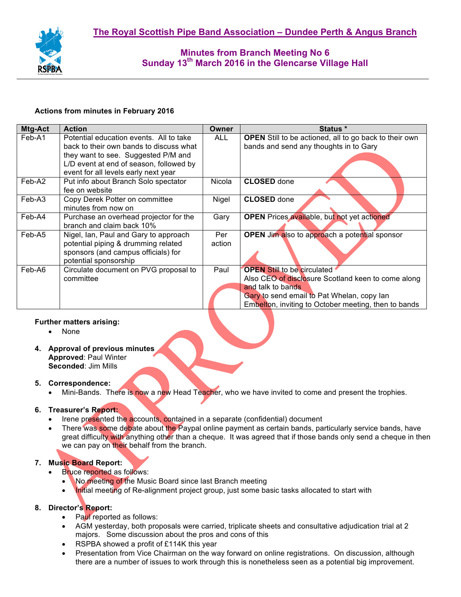

# **Minutes from Branch Meeting No 6 Sunday 13th March 2016 in the Glencarse Village Hall**

### **Actions from minutes in February 2016**

| Mtg-Act | <b>Action</b>                           | <b>Owner</b> | Status *                                                      |  |  |
|---------|-----------------------------------------|--------------|---------------------------------------------------------------|--|--|
| Feb-A1  | Potential education events. All to take | <b>ALL</b>   | <b>OPEN</b> Still to be actioned, all to go back to their own |  |  |
|         | back to their own bands to discuss what |              | bands and send any thoughts in to Gary                        |  |  |
|         | they want to see. Suggested P/M and     |              |                                                               |  |  |
|         | L/D event at end of season, followed by |              |                                                               |  |  |
|         | event for all levels early next year    |              |                                                               |  |  |
| Feb-A2  | Put info about Branch Solo spectator    | Nicola       | <b>CLOSED</b> done                                            |  |  |
|         | fee on website                          |              |                                                               |  |  |
| Feb-A3  | Copy Derek Potter on committee          | Nigel        | <b>CLOSED</b> done                                            |  |  |
|         | minutes from now on                     |              |                                                               |  |  |
| Feb-A4  | Purchase an overhead projector for the  | Gary         | <b>OPEN</b> Prices available, but not yet actioned            |  |  |
|         | branch and claim back 10%               |              |                                                               |  |  |
| Feb-A5  | Nigel, Ian, Paul and Gary to approach   | Per          | <b>OPEN</b> Jim also to approach a potential sponsor          |  |  |
|         | potential piping & drumming related     | action       |                                                               |  |  |
|         | sponsors (and campus officials) for     |              |                                                               |  |  |
|         | potential sponsorship                   |              |                                                               |  |  |
| Feb-A6  | Circulate document on PVG proposal to   | Paul         | <b>OPEN Still to be circulated</b>                            |  |  |
|         | committee                               |              | Also CEO of disclosure Scotland keen to come along            |  |  |
|         |                                         |              | and talk to bands                                             |  |  |
|         |                                         |              | Gary to send email to Pat Whelan, copy lan                    |  |  |
|         |                                         |              | Embelton, inviting to October meeting, then to bands          |  |  |

### **Further matters arising:**

- None
- **4. Approval of previous minutes Approved**: Paul Winter **Seconded**: Jim Mills

### **5. Correspondence:**

• Mini-Bands. There is now a new Head Teacher, who we have invited to come and present the trophies.

# **6. Treasurer's Report:**

- Irene presented the accounts, contained in a separate (confidential) document
- There was some debate about the Paypal online payment as certain bands, particularly service bands, have great difficulty with anything other than a cheque. It was agreed that if those bands only send a cheque in then we can pay on their behalf from the branch.

# **7. Music Board Report:**

- **Bruce reported as follows:** 
	- No meeting of the Music Board since last Branch meeting
	- Initial meeting of Re-alignment project group, just some basic tasks allocated to start with

# **8. Director's Report:**

- Paul reported as follows:
- AGM yesterday, both proposals were carried, triplicate sheets and consultative adjudication trial at 2 majors. Some discussion about the pros and cons of this
- RSPBA showed a profit of £114K this year
- Presentation from Vice Chairman on the way forward on online registrations. On discussion, although there are a number of issues to work through this is nonetheless seen as a potential big improvement.